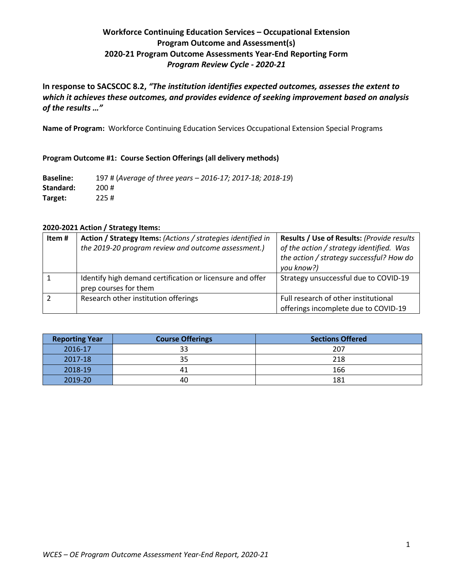# **Workforce Continuing Education Services – Occupational Extension Program Outcome and Assessment(s) 2020-21 Program Outcome Assessments Year-End Reporting Form** *Program Review Cycle - 2020-21*

**In response to SACSCOC 8.2,** *"The institution identifies expected outcomes, assesses the extent to which it achieves these outcomes, and provides evidence of seeking improvement based on analysis of the results …"*

**Name of Program:** Workforce Continuing Education Services Occupational Extension Special Programs

#### **Program Outcome #1: Course Section Offerings (all delivery methods)**

**Baseline:** 197 # (*Average of three years – 2016-17; 2017-18; 2018-19*) **Standard:** 200 # **Target:** 225 #

#### **2020-2021 Action / Strategy Items:**

| Item# | Action / Strategy Items: (Actions / strategies identified in | Results / Use of Results: (Provide results                                                         |
|-------|--------------------------------------------------------------|----------------------------------------------------------------------------------------------------|
|       | the 2019-20 program review and outcome assessment.)          | of the action / strategy identified. Was<br>the action / strategy successful? How do<br>you know?) |
|       | Identify high demand certification or licensure and offer    | Strategy unsuccessful due to COVID-19                                                              |
|       | prep courses for them                                        |                                                                                                    |
|       | Research other institution offerings                         | Full research of other institutional<br>offerings incomplete due to COVID-19                       |

| <b>Reporting Year</b> | <b>Course Offerings</b> | <b>Sections Offered</b> |
|-----------------------|-------------------------|-------------------------|
| 2016-17               | 33                      | 207                     |
| 2017-18               | 35                      | 218                     |
| 2018-19               | 41                      | 166                     |
| 2019-20               | 40                      | 181                     |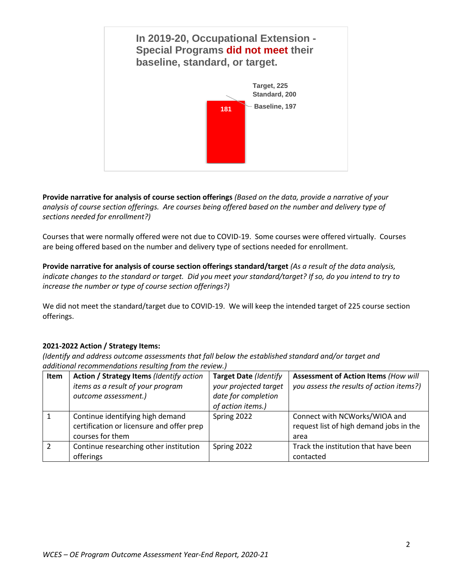

**Provide narrative for analysis of course section offerings** *(Based on the data, provide a narrative of your analysis of course section offerings. Are courses being offered based on the number and delivery type of sections needed for enrollment?)*

Courses that were normally offered were not due to COVID-19. Some courses were offered virtually. Courses are being offered based on the number and delivery type of sections needed for enrollment.

**Provide narrative for analysis of course section offerings standard/target** *(As a result of the data analysis,*  indicate changes to the standard or target. Did you meet your standard/target? If so, do you intend to try to *increase the number or type of course section offerings?)*

We did not meet the standard/target due to COVID-19. We will keep the intended target of 225 course section offerings.

## **2021-2022 Action / Strategy Items:**

| <b>Item</b> | Action / Strategy Items (Identify action<br>items as a result of your program<br>outcome assessment.) | <b>Target Date (Identify</b><br>your projected target<br>date for completion<br>of action items.) | <b>Assessment of Action Items (How will</b><br>you assess the results of action items?) |
|-------------|-------------------------------------------------------------------------------------------------------|---------------------------------------------------------------------------------------------------|-----------------------------------------------------------------------------------------|
|             | Continue identifying high demand<br>certification or licensure and offer prep<br>courses for them     | Spring 2022                                                                                       | Connect with NCWorks/WIOA and<br>request list of high demand jobs in the<br>area        |
|             | Continue researching other institution<br>offerings                                                   | Spring 2022                                                                                       | Track the institution that have been<br>contacted                                       |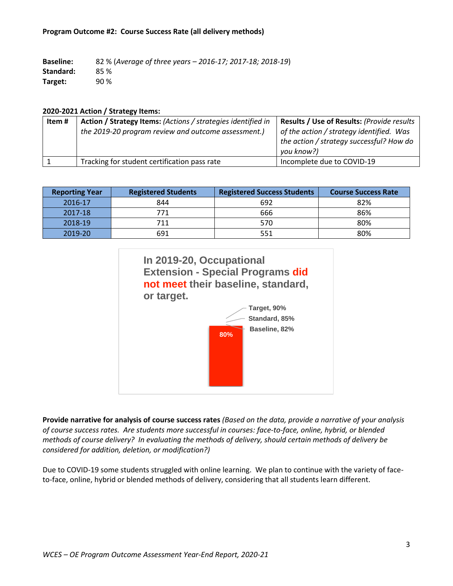| <b>Baseline:</b> | 82 % (Average of three years - 2016-17; 2017-18; 2018-19) |
|------------------|-----------------------------------------------------------|
| Standard:        | 85 %                                                      |
| Target:          | 90 %                                                      |

#### **2020-2021 Action / Strategy Items:**

| Item # | Action / Strategy Items: (Actions / strategies identified in | Results / Use of Results: (Provide results                                                         |
|--------|--------------------------------------------------------------|----------------------------------------------------------------------------------------------------|
|        | the 2019-20 program review and outcome assessment.)          | of the action / strategy identified. Was<br>the action / strategy successful? How do<br>you know?) |
|        | Tracking for student certification pass rate                 | Incomplete due to COVID-19                                                                         |

| <b>Reporting Year</b> | <b>Registered Students</b> | <b>Registered Success Students</b> | <b>Course Success Rate</b> |
|-----------------------|----------------------------|------------------------------------|----------------------------|
| 2016-17               | 844                        | 692                                | 82%                        |
| 2017-18               | 771                        | 666                                | 86%                        |
| 2018-19               | 711                        | 570                                | 80%                        |
| 2019-20               | 691                        | 551                                | 80%                        |



**Provide narrative for analysis of course success rates** *(Based on the data, provide a narrative of your analysis of course success rates. Are students more successful in courses: face-to-face, online, hybrid, or blended methods of course delivery? In evaluating the methods of delivery, should certain methods of delivery be considered for addition, deletion, or modification?)*

Due to COVID-19 some students struggled with online learning. We plan to continue with the variety of faceto-face, online, hybrid or blended methods of delivery, considering that all students learn different.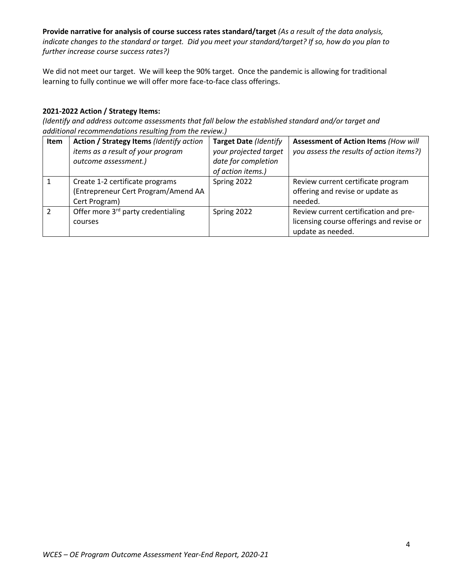**Provide narrative for analysis of course success rates standard/target** *(As a result of the data analysis, indicate changes to the standard or target. Did you meet your standard/target? If so, how do you plan to further increase course success rates?)*

We did not meet our target. We will keep the 90% target. Once the pandemic is allowing for traditional learning to fully continue we will offer more face-to-face class offerings.

## **2021-2022 Action / Strategy Items:**

| <b>Item</b> | Action / Strategy Items (Identify action<br>items as a result of your program<br>outcome assessment.) | <b>Target Date (Identify</b><br>your projected target<br>date for completion | <b>Assessment of Action Items (How will</b><br>you assess the results of action items?)                |
|-------------|-------------------------------------------------------------------------------------------------------|------------------------------------------------------------------------------|--------------------------------------------------------------------------------------------------------|
|             | Create 1-2 certificate programs<br>(Entrepreneur Cert Program/Amend AA<br>Cert Program)               | of action items.)<br>Spring 2022                                             | Review current certificate program<br>offering and revise or update as<br>needed.                      |
|             | Offer more 3 <sup>rd</sup> party credentialing<br>courses                                             | Spring 2022                                                                  | Review current certification and pre-<br>licensing course offerings and revise or<br>update as needed. |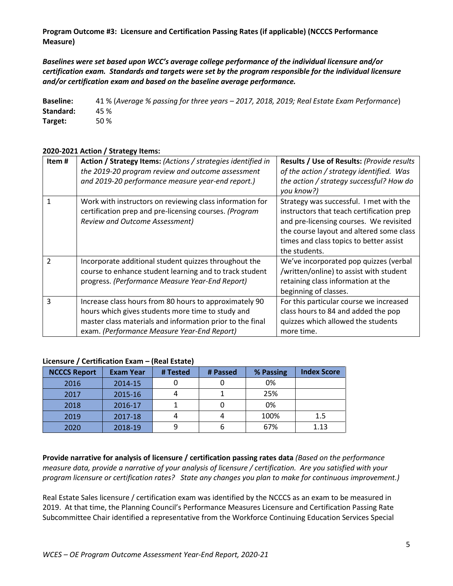**Program Outcome #3: Licensure and Certification Passing Rates (if applicable) (NCCCS Performance Measure)**

*Baselines were set based upon WCC's average college performance of the individual licensure and/or certification exam. Standards and targets were set by the program responsible for the individual licensure and/or certification exam and based on the baseline average performance.*

**Baseline:** 41 % (*Average % passing for three years – 2017, 2018, 2019; Real Estate Exam Performance*) **Standard:** 45 % **Target:** 50 %

## **2020-2021 Action / Strategy Items:**

| Item#                    | Action / Strategy Items: (Actions / strategies identified in<br>the 2019-20 program review and outcome assessment<br>and 2019-20 performance measure year-end report.)                                                  | Results / Use of Results: (Provide results<br>of the action / strategy identified. Was<br>the action / strategy successful? How do<br>you know?)                                                                                        |
|--------------------------|-------------------------------------------------------------------------------------------------------------------------------------------------------------------------------------------------------------------------|-----------------------------------------------------------------------------------------------------------------------------------------------------------------------------------------------------------------------------------------|
|                          | Work with instructors on reviewing class information for<br>certification prep and pre-licensing courses. (Program<br><b>Review and Outcome Assessment)</b>                                                             | Strategy was successful. I met with the<br>instructors that teach certification prep<br>and pre-licensing courses. We revisited<br>the course layout and altered some class<br>times and class topics to better assist<br>the students. |
| $\overline{\phantom{a}}$ | Incorporate additional student quizzes throughout the<br>course to enhance student learning and to track student<br>progress. (Performance Measure Year-End Report)                                                     | We've incorporated pop quizzes (verbal<br>/written/online) to assist with student<br>retaining class information at the<br>beginning of classes.                                                                                        |
| 3                        | Increase class hours from 80 hours to approximately 90<br>hours which gives students more time to study and<br>master class materials and information prior to the final<br>exam. (Performance Measure Year-End Report) | For this particular course we increased<br>class hours to 84 and added the pop<br>quizzes which allowed the students<br>more time.                                                                                                      |

#### **Licensure / Certification Exam – (Real Estate)**

| <b>NCCCS Report</b> | <b>Exam Year</b> | # Tested | # Passed | % Passing | <b>Index Score</b> |
|---------------------|------------------|----------|----------|-----------|--------------------|
| 2016                | 2014-15          |          |          | 0%        |                    |
| 2017                | 2015-16          |          |          | 25%       |                    |
| 2018                | 2016-17          |          |          | 0%        |                    |
| 2019                | 2017-18          |          |          | 100%      | 1.5                |
| 2020                | 2018-19          |          | o        | 67%       | 1.13               |

**Provide narrative for analysis of licensure / certification passing rates data** *(Based on the performance measure data, provide a narrative of your analysis of licensure / certification. Are you satisfied with your program licensure or certification rates? State any changes you plan to make for continuous improvement.)*

Real Estate Sales licensure / certification exam was identified by the NCCCS as an exam to be measured in 2019. At that time, the Planning Council's Performance Measures Licensure and Certification Passing Rate Subcommittee Chair identified a representative from the Workforce Continuing Education Services Special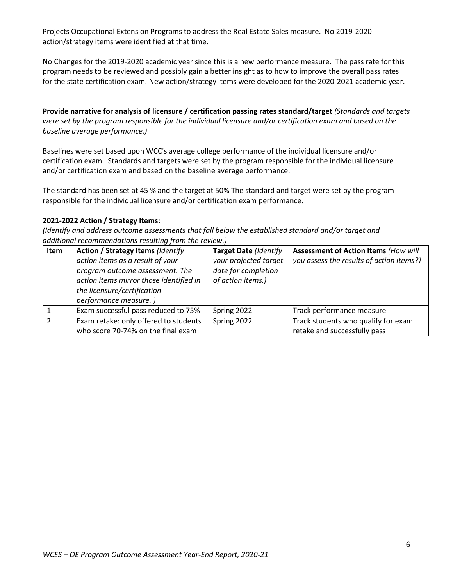Projects Occupational Extension Programs to address the Real Estate Sales measure. No 2019-2020 action/strategy items were identified at that time.

No Changes for the 2019-2020 academic year since this is a new performance measure. The pass rate for this program needs to be reviewed and possibly gain a better insight as to how to improve the overall pass rates for the state certification exam. New action/strategy items were developed for the 2020-2021 academic year.

**Provide narrative for analysis of licensure / certification passing rates standard/target** *(Standards and targets were set by the program responsible for the individual licensure and/or certification exam and based on the baseline average performance.)*

Baselines were set based upon WCC's average college performance of the individual licensure and/or certification exam. Standards and targets were set by the program responsible for the individual licensure and/or certification exam and based on the baseline average performance.

The standard has been set at 45 % and the target at 50% The standard and target were set by the program responsible for the individual licensure and/or certification exam performance.

#### **2021-2022 Action / Strategy Items:**

| <b>Item</b> | <b>Action / Strategy Items (Identify</b> | <b>Target Date (Identify</b> | <b>Assessment of Action Items (How will</b> |
|-------------|------------------------------------------|------------------------------|---------------------------------------------|
|             | action items as a result of your         | your projected target        | you assess the results of action items?)    |
|             | program outcome assessment. The          | date for completion          |                                             |
|             | action items mirror those identified in  | of action items.)            |                                             |
|             | the licensure/certification              |                              |                                             |
|             | performance measure.)                    |                              |                                             |
|             | Exam successful pass reduced to 75%      | Spring 2022                  | Track performance measure                   |
|             | Exam retake: only offered to students    | Spring 2022                  | Track students who qualify for exam         |
|             | who score 70-74% on the final exam       |                              | retake and successfully pass                |